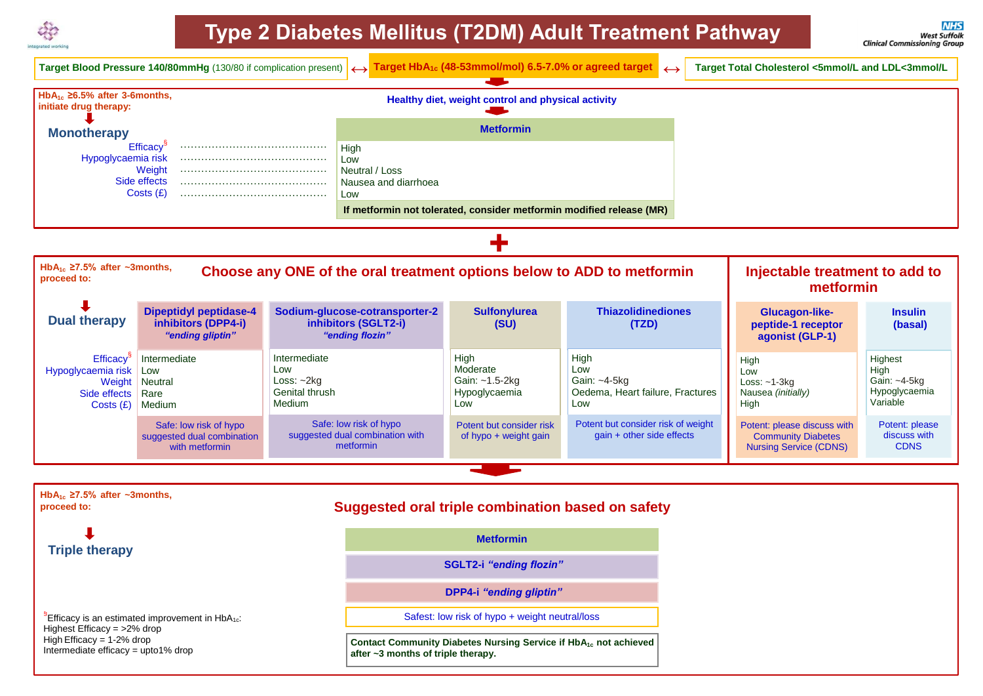